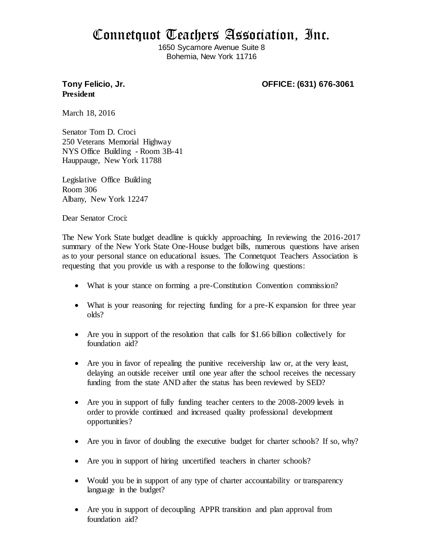## Connetquot Teachers Association, Inc.

1650 Sycamore Avenue Suite 8 Bohemia, New York 11716

## **President**

**Tony Felicio, Jr. OFFICE: (631) 676-3061**

March 18, 2016

Senator Tom D. Croci 250 Veterans Memorial Highway NYS Office Building - Room 3B-41 Hauppauge, New York 11788

Legislative Office Building Room 306 Albany, New York 12247

Dear Senator Croci:

The New York State budget deadline is quickly approaching. In reviewing the 2016-2017 summary of the New York State One-House budget bills, numerous questions have arisen as to your personal stance on educational issues. The Connetquot Teachers Association is requesting that you provide us with a response to the following questions:

- What is your stance on forming a pre-Constitution Convention commission?
- What is your reasoning for rejecting funding for a pre-K expansion for three year olds?
- Are you in support of the resolution that calls for \$1.66 billion collectively for foundation aid?
- Are you in favor of repealing the punitive receivership law or, at the very least, delaying an outside receiver until one year after the school receives the necessary funding from the state AND after the status has been reviewed by SED?
- Are you in support of fully funding teacher centers to the 2008-2009 levels in order to provide continued and increased quality professional development opportunities?
- Are you in favor of doubling the executive budget for charter schools? If so, why?
- Are you in support of hiring uncertified teachers in charter schools?
- Would you be in support of any type of charter accountability or transparency language in the budget?
- Are you in support of decoupling APPR transition and plan approval from foundation aid?